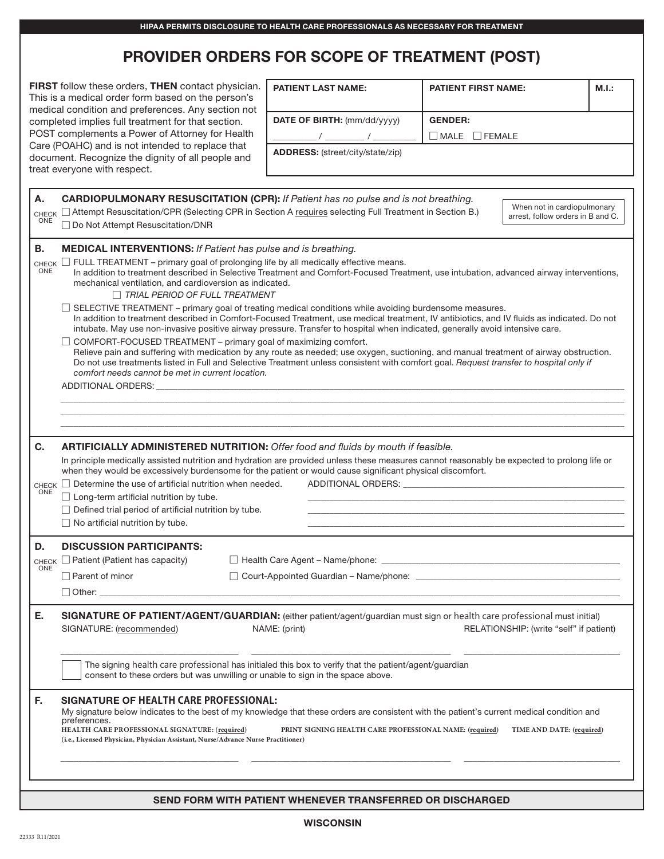|                              |                                                                                                                                                                                                                                                                                                                                                                                                                                                                                                                                                                                                                                                                                                                                                                                                   | <b>PROVIDER ORDERS FOR SCOPE OF TREATMENT (POST)</b>                 |                            |                                                                  |       |  |
|------------------------------|---------------------------------------------------------------------------------------------------------------------------------------------------------------------------------------------------------------------------------------------------------------------------------------------------------------------------------------------------------------------------------------------------------------------------------------------------------------------------------------------------------------------------------------------------------------------------------------------------------------------------------------------------------------------------------------------------------------------------------------------------------------------------------------------------|----------------------------------------------------------------------|----------------------------|------------------------------------------------------------------|-------|--|
|                              | FIRST follow these orders, THEN contact physician.<br>This is a medical order form based on the person's                                                                                                                                                                                                                                                                                                                                                                                                                                                                                                                                                                                                                                                                                          | <b>PATIENT LAST NAME:</b>                                            | <b>PATIENT FIRST NAME:</b> |                                                                  | M.I.: |  |
|                              | medical condition and preferences. Any section not<br>completed implies full treatment for that section.                                                                                                                                                                                                                                                                                                                                                                                                                                                                                                                                                                                                                                                                                          | DATE OF BIRTH: (mm/dd/yyyy)                                          | <b>GENDER:</b>             |                                                                  |       |  |
|                              | POST complements a Power of Attorney for Health<br>Care (POAHC) and is not intended to replace that<br>document. Recognize the dignity of all people and                                                                                                                                                                                                                                                                                                                                                                                                                                                                                                                                                                                                                                          | $\Box$ MALE $\Box$ FEMALE<br><b>ADDRESS:</b> (street/city/state/zip) |                            |                                                                  |       |  |
| Α.<br><b>CHECK</b><br>ONE    | treat everyone with respect.<br><b>CARDIOPULMONARY RESUSCITATION (CPR):</b> If Patient has no pulse and is not breathing.<br>□ Attempt Resuscitation/CPR (Selecting CPR in Section A requires selecting Full Treatment in Section B.)                                                                                                                                                                                                                                                                                                                                                                                                                                                                                                                                                             |                                                                      |                            | When not in cardiopulmonary<br>arrest, follow orders in B and C. |       |  |
|                              | □ Do Not Attempt Resuscitation/DNR                                                                                                                                                                                                                                                                                                                                                                                                                                                                                                                                                                                                                                                                                                                                                                |                                                                      |                            |                                                                  |       |  |
| В.<br>CHECK $\square$<br>ONE | <b>MEDICAL INTERVENTIONS: If Patient has pulse and is breathing.</b><br>FULL TREATMENT – primary goal of prolonging life by all medically effective means.<br>In addition to treatment described in Selective Treatment and Comfort-Focused Treatment, use intubation, advanced airway interventions,<br>mechanical ventilation, and cardioversion as indicated.<br>$\Box$ TRIAL PERIOD OF FULL TREATMENT<br>SELECTIVE TREATMENT – primary goal of treating medical conditions while avoiding burdensome measures.<br>In addition to treatment described in Comfort-Focused Treatment, use medical treatment, IV antibiotics, and IV fluids as indicated. Do not<br>intubate. May use non-invasive positive airway pressure. Transfer to hospital when indicated, generally avoid intensive care. |                                                                      |                            |                                                                  |       |  |
|                              | COMFORT-FOCUSED TREATMENT - primary goal of maximizing comfort.<br>Relieve pain and suffering with medication by any route as needed; use oxygen, suctioning, and manual treatment of airway obstruction.<br>Do not use treatments listed in Full and Selective Treatment unless consistent with comfort goal. Request transfer to hospital only if<br>comfort needs cannot be met in current location.<br>ADDITIONAL ORDERS: NAMEL AND THE STATE OF STATE AND THE STATE OF STATE AND THE STATE OF STATE AND THE STATE OF STATE OF STATE AND THE STATE OF STATE OF STATE AND THE STATE OF STATE OF STATE OF STATE OF STATE OF STATE OF ST                                                                                                                                                         |                                                                      |                            |                                                                  |       |  |
|                              |                                                                                                                                                                                                                                                                                                                                                                                                                                                                                                                                                                                                                                                                                                                                                                                                   |                                                                      |                            |                                                                  |       |  |
| С.<br>ONE                    | ARTIFICIALLY ADMINISTERED NUTRITION: Offer food and fluids by mouth if feasible.<br>In principle medically assisted nutrition and hydration are provided unless these measures cannot reasonably be expected to prolong life or<br>when they would be excessively burdensome for the patient or would cause significant physical discomfort.<br>CHECK $\Box$ Determine the use of artificial nutrition when needed.<br>ADDITIONAL ORDERS: ADDITIONAL ORDERS:<br>$\Box$ Long-term artificial nutrition by tube.                                                                                                                                                                                                                                                                                    |                                                                      |                            |                                                                  |       |  |
|                              | $\Box$ Defined trial period of artificial nutrition by tube.<br>$\Box$ No artificial nutrition by tube.                                                                                                                                                                                                                                                                                                                                                                                                                                                                                                                                                                                                                                                                                           |                                                                      |                            |                                                                  |       |  |
| D.                           | <b>DISCUSSION PARTICIPANTS:</b>                                                                                                                                                                                                                                                                                                                                                                                                                                                                                                                                                                                                                                                                                                                                                                   |                                                                      |                            |                                                                  |       |  |
| CHECK<br>ONE                 | $\Box$ Patient (Patient has capacity)                                                                                                                                                                                                                                                                                                                                                                                                                                                                                                                                                                                                                                                                                                                                                             | $\Box$ Health Care Agent – Name/phone:                               |                            |                                                                  |       |  |
|                              | Parent of minor<br>$\Box$ Other: $\Box$                                                                                                                                                                                                                                                                                                                                                                                                                                                                                                                                                                                                                                                                                                                                                           |                                                                      |                            |                                                                  |       |  |
| Е.                           | SIGNATURE OF PATIENT/AGENT/GUARDIAN: (either patient/agent/guardian must sign or health care professional must initial)<br>SIGNATURE: (recommended)<br>NAME: (print)<br>RELATIONSHIP: (write "self" if patient)                                                                                                                                                                                                                                                                                                                                                                                                                                                                                                                                                                                   |                                                                      |                            |                                                                  |       |  |
|                              | The signing health care professional has initialed this box to verify that the patient/agent/guardian<br>consent to these orders but was unwilling or unable to sign in the space above.                                                                                                                                                                                                                                                                                                                                                                                                                                                                                                                                                                                                          |                                                                      |                            |                                                                  |       |  |
| F.                           | SIGNATURE OF HEALTH CARE PROFESSIONAL:<br>My signature below indicates to the best of my knowledge that these orders are consistent with the patient's current medical condition and<br>preferences.<br>HEALTH CARE PROFESSIONAL SIGNATURE: (required)<br>TIME AND DATE: (required)<br>PRINT SIGNING HEALTH CARE PROFESSIONAL NAME: (required)<br>(i.e., Licensed Physician, Physician Assistant, Nurse/Advance Nurse Practitioner)                                                                                                                                                                                                                                                                                                                                                               |                                                                      |                            |                                                                  |       |  |
|                              |                                                                                                                                                                                                                                                                                                                                                                                                                                                                                                                                                                                                                                                                                                                                                                                                   | SEND FORM WITH PATIENT WHENEVER TRANSFERRED OR DISCHARGED            |                            |                                                                  |       |  |

HIPAA PERMITS DISCLOSURE TO HEALTH CARE PROFESSIONALS AS NECESSARY FOR TREATMENT